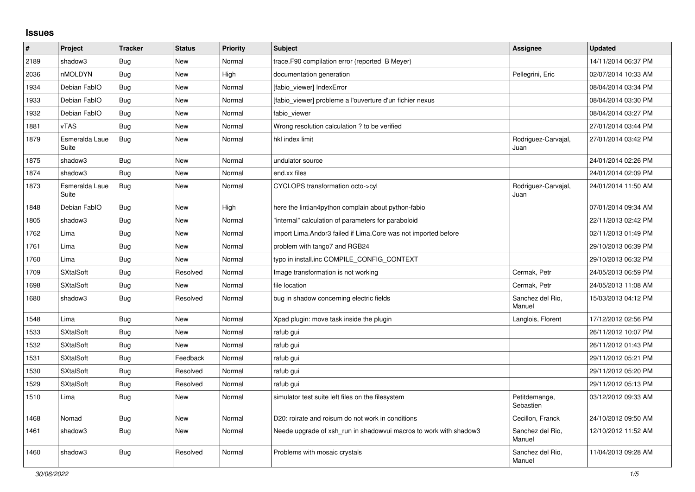## **Issues**

| #    | Project                 | <b>Tracker</b> | <b>Status</b> | <b>Priority</b> | <b>Subject</b>                                                    | <b>Assignee</b>             | <b>Updated</b>      |
|------|-------------------------|----------------|---------------|-----------------|-------------------------------------------------------------------|-----------------------------|---------------------|
| 2189 | shadow3                 | Bug            | <b>New</b>    | Normal          | trace.F90 compilation error (reported B Meyer)                    |                             | 14/11/2014 06:37 PM |
| 2036 | nMOLDYN                 | <b>Bug</b>     | New           | High            | documentation generation                                          | Pellegrini, Eric            | 02/07/2014 10:33 AM |
| 1934 | Debian FablO            | Bug            | New           | Normal          | [fabio viewer] IndexError                                         |                             | 08/04/2014 03:34 PM |
| 1933 | Debian FablO            | <b>Bug</b>     | New           | Normal          | [fabio viewer] probleme a l'ouverture d'un fichier nexus          |                             | 08/04/2014 03:30 PM |
| 1932 | Debian FablO            | Bug            | New           | Normal          | fabio viewer                                                      |                             | 08/04/2014 03:27 PM |
| 1881 | vTAS                    | <b>Bug</b>     | <b>New</b>    | Normal          | Wrong resolution calculation ? to be verified                     |                             | 27/01/2014 03:44 PM |
| 1879 | Esmeralda Laue<br>Suite | Bug            | New           | Normal          | hkl index limit                                                   | Rodriguez-Carvajal,<br>Juan | 27/01/2014 03:42 PM |
| 1875 | shadow3                 | <b>Bug</b>     | <b>New</b>    | Normal          | undulator source                                                  |                             | 24/01/2014 02:26 PM |
| 1874 | shadow3                 | <b>Bug</b>     | <b>New</b>    | Normal          | end.xx files                                                      |                             | 24/01/2014 02:09 PM |
| 1873 | Esmeralda Laue<br>Suite | <b>Bug</b>     | New           | Normal          | CYCLOPS transformation octo->cyl                                  | Rodriguez-Carvajal,<br>Juan | 24/01/2014 11:50 AM |
| 1848 | Debian FablO            | Bug            | New           | High            | here the lintian4python complain about python-fabio               |                             | 07/01/2014 09:34 AM |
| 1805 | shadow3                 | Bug            | <b>New</b>    | Normal          | "internal" calculation of parameters for paraboloid               |                             | 22/11/2013 02:42 PM |
| 1762 | Lima                    | <b>Bug</b>     | <b>New</b>    | Normal          | import Lima. Andor3 failed if Lima. Core was not imported before  |                             | 02/11/2013 01:49 PM |
| 1761 | Lima                    | Bug            | New           | Normal          | problem with tango7 and RGB24                                     |                             | 29/10/2013 06:39 PM |
| 1760 | Lima                    | Bug            | <b>New</b>    | Normal          | typo in install.inc COMPILE_CONFIG_CONTEXT                        |                             | 29/10/2013 06:32 PM |
| 1709 | <b>SXtalSoft</b>        | Bug            | Resolved      | Normal          | Image transformation is not working                               | Cermak, Petr                | 24/05/2013 06:59 PM |
| 1698 | <b>SXtalSoft</b>        | Bug            | New           | Normal          | file location                                                     | Cermak, Petr                | 24/05/2013 11:08 AM |
| 1680 | shadow3                 | Bug            | Resolved      | Normal          | bug in shadow concerning electric fields                          | Sanchez del Rio,<br>Manuel  | 15/03/2013 04:12 PM |
| 1548 | Lima                    | Bug            | <b>New</b>    | Normal          | Xpad plugin: move task inside the plugin                          | Langlois, Florent           | 17/12/2012 02:56 PM |
| 1533 | <b>SXtalSoft</b>        | <b>Bug</b>     | <b>New</b>    | Normal          | rafub gui                                                         |                             | 26/11/2012 10:07 PM |
| 1532 | <b>SXtalSoft</b>        | Bug            | <b>New</b>    | Normal          | rafub gui                                                         |                             | 26/11/2012 01:43 PM |
| 1531 | <b>SXtalSoft</b>        | Bug            | Feedback      | Normal          | rafub gui                                                         |                             | 29/11/2012 05:21 PM |
| 1530 | <b>SXtalSoft</b>        | Bug            | Resolved      | Normal          | rafub gui                                                         |                             | 29/11/2012 05:20 PM |
| 1529 | <b>SXtalSoft</b>        | <b>Bug</b>     | Resolved      | Normal          | rafub qui                                                         |                             | 29/11/2012 05:13 PM |
| 1510 | Lima                    | <b>Bug</b>     | <b>New</b>    | Normal          | simulator test suite left files on the filesystem                 | Petitdemange,<br>Sebastien  | 03/12/2012 09:33 AM |
| 1468 | Nomad                   | Bug            | <b>New</b>    | Normal          | D20: roirate and roisum do not work in conditions                 | Cecillon, Franck            | 24/10/2012 09:50 AM |
| 1461 | shadow3                 | <b>Bug</b>     | New           | Normal          | Neede upgrade of xsh_run in shadowvui macros to work with shadow3 | Sanchez del Rio,<br>Manuel  | 12/10/2012 11:52 AM |
| 1460 | shadow3                 | <b>Bug</b>     | Resolved      | Normal          | Problems with mosaic crystals                                     | Sanchez del Rio,<br>Manuel  | 11/04/2013 09:28 AM |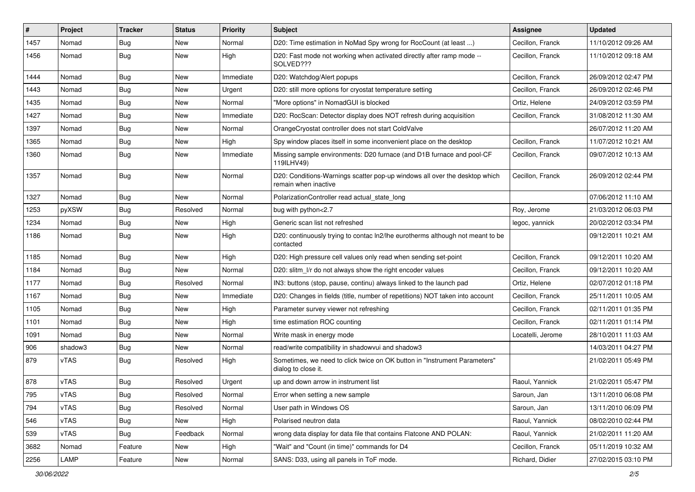| #    | Project | <b>Tracker</b> | <b>Status</b> | <b>Priority</b> | <b>Subject</b>                                                                                     | <b>Assignee</b>   | <b>Updated</b>      |
|------|---------|----------------|---------------|-----------------|----------------------------------------------------------------------------------------------------|-------------------|---------------------|
| 1457 | Nomad   | Bug            | New           | Normal          | D20: Time estimation in NoMad Spy wrong for RocCount (at least )                                   | Cecillon, Franck  | 11/10/2012 09:26 AM |
| 1456 | Nomad   | Bug            | New           | High            | D20: Fast mode not working when activated directly after ramp mode --<br>SOLVED???                 | Cecillon, Franck  | 11/10/2012 09:18 AM |
| 1444 | Nomad   | <b>Bug</b>     | <b>New</b>    | Immediate       | D20: Watchdog/Alert popups                                                                         | Cecillon, Franck  | 26/09/2012 02:47 PM |
| 1443 | Nomad   | Bug            | New           | Urgent          | D20: still more options for cryostat temperature setting                                           | Cecillon, Franck  | 26/09/2012 02:46 PM |
| 1435 | Nomad   | Bug            | New           | Normal          | "More options" in NomadGUI is blocked                                                              | Ortiz, Helene     | 24/09/2012 03:59 PM |
| 1427 | Nomad   | <b>Bug</b>     | New           | Immediate       | D20: RocScan: Detector display does NOT refresh during acquisition                                 | Cecillon, Franck  | 31/08/2012 11:30 AM |
| 1397 | Nomad   | Bug            | New           | Normal          | OrangeCryostat controller does not start ColdValve                                                 |                   | 26/07/2012 11:20 AM |
| 1365 | Nomad   | Bug            | New           | High            | Spy window places itself in some inconvenient place on the desktop                                 | Cecillon, Franck  | 11/07/2012 10:21 AM |
| 1360 | Nomad   | Bug            | New           | Immediate       | Missing sample environments: D20 furnace (and D1B furnace and pool-CF<br>119ILHV49)                | Cecillon, Franck  | 09/07/2012 10:13 AM |
| 1357 | Nomad   | <b>Bug</b>     | New           | Normal          | D20: Conditions-Warnings scatter pop-up windows all over the desktop which<br>remain when inactive | Cecillon, Franck  | 26/09/2012 02:44 PM |
| 1327 | Nomad   | Bug            | <b>New</b>    | Normal          | PolarizationController read actual state long                                                      |                   | 07/06/2012 11:10 AM |
| 1253 | pyXSW   | <b>Bug</b>     | Resolved      | Normal          | bug with python<2.7                                                                                | Roy, Jerome       | 21/03/2012 06:03 PM |
| 1234 | Nomad   | <b>Bug</b>     | New           | High            | Generic scan list not refreshed                                                                    | legoc, yannick    | 20/02/2012 03:34 PM |
| 1186 | Nomad   | Bug            | New           | High            | D20: continuously trying to contac ln2/lhe eurotherms although not meant to be<br>contacted        |                   | 09/12/2011 10:21 AM |
| 1185 | Nomad   | Bug            | New           | High            | D20: High pressure cell values only read when sending set-point                                    | Cecillon, Franck  | 09/12/2011 10:20 AM |
| 1184 | Nomad   | <b>Bug</b>     | <b>New</b>    | Normal          | D20: slitm_l/r do not always show the right encoder values                                         | Cecillon, Franck  | 09/12/2011 10:20 AM |
| 1177 | Nomad   | Bug            | Resolved      | Normal          | IN3: buttons (stop, pause, continu) always linked to the launch pad                                | Ortiz, Helene     | 02/07/2012 01:18 PM |
| 1167 | Nomad   | Bug            | New           | Immediate       | D20: Changes in fields (title, number of repetitions) NOT taken into account                       | Cecillon, Franck  | 25/11/2011 10:05 AM |
| 1105 | Nomad   | Bug            | New           | High            | Parameter survey viewer not refreshing                                                             | Cecillon, Franck  | 02/11/2011 01:35 PM |
| 1101 | Nomad   | <b>Bug</b>     | New           | High            | time estimation ROC counting                                                                       | Cecillon, Franck  | 02/11/2011 01:14 PM |
| 1091 | Nomad   | Bug            | New           | Normal          | Write mask in energy mode                                                                          | Locatelli, Jerome | 28/10/2011 11:03 AM |
| 906  | shadow3 | <b>Bug</b>     | New           | Normal          | read/write compatibility in shadowvui and shadow3                                                  |                   | 14/03/2011 04:27 PM |
| 879  | vTAS    | Bug            | Resolved      | High            | Sometimes, we need to click twice on OK button in "Instrument Parameters"<br>dialog to close it.   |                   | 21/02/2011 05:49 PM |
| 878  | vTAS    | <b>Bug</b>     | Resolved      | Urgent          | up and down arrow in instrument list                                                               | Raoul, Yannick    | 21/02/2011 05:47 PM |
| 795  | vTAS    | Bug            | Resolved      | Normal          | Error when setting a new sample                                                                    | Saroun, Jan       | 13/11/2010 06:08 PM |
| 794  | vTAS    | <b>Bug</b>     | Resolved      | Normal          | User path in Windows OS                                                                            | Saroun, Jan       | 13/11/2010 06:09 PM |
| 546  | vTAS    | <b>Bug</b>     | New           | High            | Polarised neutron data                                                                             | Raoul, Yannick    | 08/02/2010 02:44 PM |
| 539  | vTAS    | <b>Bug</b>     | Feedback      | Normal          | wrong data display for data file that contains Flatcone AND POLAN:                                 | Raoul, Yannick    | 21/02/2011 11:20 AM |
| 3682 | Nomad   | Feature        | New           | High            | "Wait" and "Count (in time)" commands for D4                                                       | Cecillon, Franck  | 05/11/2019 10:32 AM |
| 2256 | LAMP    | Feature        | New           | Normal          | SANS: D33, using all panels in ToF mode.                                                           | Richard, Didier   | 27/02/2015 03:10 PM |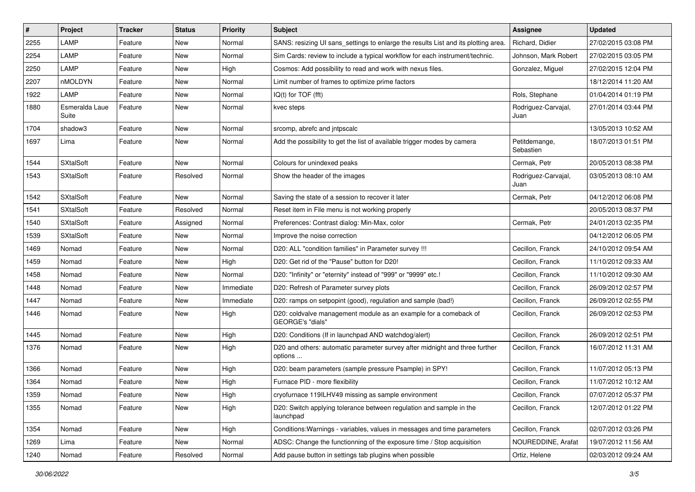| #    | Project                 | <b>Tracker</b> | <b>Status</b> | <b>Priority</b> | <b>Subject</b>                                                                              | <b>Assignee</b>             | <b>Updated</b>      |
|------|-------------------------|----------------|---------------|-----------------|---------------------------------------------------------------------------------------------|-----------------------------|---------------------|
| 2255 | LAMP                    | Feature        | New           | Normal          | SANS: resizing UI sans settings to enlarge the results List and its plotting area.          | Richard, Didier             | 27/02/2015 03:08 PM |
| 2254 | LAMP                    | Feature        | New           | Normal          | Sim Cards: review to include a typical workflow for each instrument/technic.                | Johnson, Mark Robert        | 27/02/2015 03:05 PM |
| 2250 | LAMP                    | Feature        | New           | High            | Cosmos: Add possibility to read and work with nexus files.                                  | Gonzalez, Miguel            | 27/02/2015 12:04 PM |
| 2207 | nMOLDYN                 | Feature        | New           | Normal          | Limit number of frames to optimize prime factors                                            |                             | 18/12/2014 11:20 AM |
| 1922 | LAMP                    | Feature        | New           | Normal          | IQ(t) for TOF (fft)                                                                         | Rols, Stephane              | 01/04/2014 01:19 PM |
| 1880 | Esmeralda Laue<br>Suite | Feature        | New           | Normal          | kvec steps                                                                                  | Rodriguez-Carvajal,<br>Juan | 27/01/2014 03:44 PM |
| 1704 | shadow3                 | Feature        | New           | Normal          | srcomp, abrefc and intpscalc                                                                |                             | 13/05/2013 10:52 AM |
| 1697 | Lima                    | Feature        | New           | Normal          | Add the possibility to get the list of available trigger modes by camera                    | Petitdemange,<br>Sebastien  | 18/07/2013 01:51 PM |
| 1544 | <b>SXtalSoft</b>        | Feature        | New           | Normal          | Colours for unindexed peaks                                                                 | Cermak, Petr                | 20/05/2013 08:38 PM |
| 1543 | <b>SXtalSoft</b>        | Feature        | Resolved      | Normal          | Show the header of the images                                                               | Rodriguez-Carvajal,<br>Juan | 03/05/2013 08:10 AM |
| 1542 | <b>SXtalSoft</b>        | Feature        | New           | Normal          | Saving the state of a session to recover it later                                           | Cermak, Petr                | 04/12/2012 06:08 PM |
| 1541 | <b>SXtalSoft</b>        | Feature        | Resolved      | Normal          | Reset item in File menu is not working properly                                             |                             | 20/05/2013 08:37 PM |
| 1540 | <b>SXtalSoft</b>        | Feature        | Assigned      | Normal          | Preferences: Contrast dialog: Min-Max, color                                                | Cermak. Petr                | 24/01/2013 02:35 PM |
| 1539 | <b>SXtalSoft</b>        | Feature        | New           | Normal          | Improve the noise correction                                                                |                             | 04/12/2012 06:05 PM |
| 1469 | Nomad                   | Feature        | New           | Normal          | D20: ALL "condition families" in Parameter survey !!!                                       | Cecillon, Franck            | 24/10/2012 09:54 AM |
| 1459 | Nomad                   | Feature        | New           | High            | D20: Get rid of the "Pause" button for D20!                                                 | Cecillon, Franck            | 11/10/2012 09:33 AM |
| 1458 | Nomad                   | Feature        | New           | Normal          | D20: "Infinity" or "eternity" instead of "999" or "9999" etc.!                              | Cecillon, Franck            | 11/10/2012 09:30 AM |
| 1448 | Nomad                   | Feature        | New           | Immediate       | D20: Refresh of Parameter survey plots                                                      | Cecillon, Franck            | 26/09/2012 02:57 PM |
| 1447 | Nomad                   | Feature        | New           | Immediate       | D20: ramps on setpopint (good), regulation and sample (bad!)                                | Cecillon, Franck            | 26/09/2012 02:55 PM |
| 1446 | Nomad                   | Feature        | New           | High            | D20: coldvalve management module as an example for a comeback of<br><b>GEORGE's "dials"</b> | Cecillon, Franck            | 26/09/2012 02:53 PM |
| 1445 | Nomad                   | Feature        | New           | High            | D20: Conditions (If in launchpad AND watchdog/alert)                                        | Cecillon, Franck            | 26/09/2012 02:51 PM |
| 1376 | Nomad                   | Feature        | New           | High            | D20 and others: automatic parameter survey after midnight and three further<br>options      | Cecillon, Franck            | 16/07/2012 11:31 AM |
| 1366 | Nomad                   | Feature        | New           | High            | D20: beam parameters (sample pressure Psample) in SPY!                                      | Cecillon, Franck            | 11/07/2012 05:13 PM |
| 1364 | Nomad                   | Feature        | New           | High            | Furnace PID - more flexibility                                                              | Cecillon, Franck            | 11/07/2012 10:12 AM |
| 1359 | Nomad                   | Feature        | New           | High            | cryofurnace 1191LHV49 missing as sample environment                                         | Cecillon, Franck            | 07/07/2012 05:37 PM |
| 1355 | Nomad                   | Feature        | New           | High            | D20: Switch applying tolerance between regulation and sample in the<br>launchpad            | Cecillon, Franck            | 12/07/2012 01:22 PM |
| 1354 | Nomad                   | Feature        | New           | High            | Conditions: Warnings - variables, values in messages and time parameters                    | Cecillon, Franck            | 02/07/2012 03:26 PM |
| 1269 | Lima                    | Feature        | New           | Normal          | ADSC: Change the functionning of the exposure time / Stop acquisition                       | NOUREDDINE, Arafat          | 19/07/2012 11:56 AM |
| 1240 | Nomad                   | Feature        | Resolved      | Normal          | Add pause button in settings tab plugins when possible                                      | Ortiz, Helene               | 02/03/2012 09:24 AM |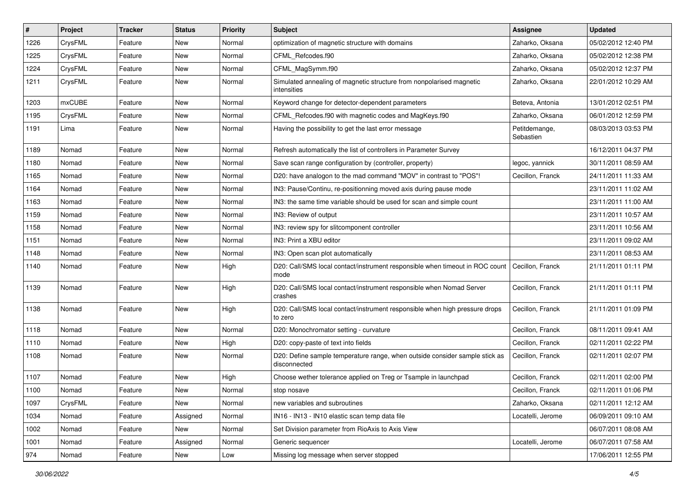| #    | Project | <b>Tracker</b> | <b>Status</b> | <b>Priority</b> | <b>Subject</b>                                                                              | <b>Assignee</b>            | <b>Updated</b>      |
|------|---------|----------------|---------------|-----------------|---------------------------------------------------------------------------------------------|----------------------------|---------------------|
| 1226 | CrysFML | Feature        | New           | Normal          | optimization of magnetic structure with domains                                             | Zaharko, Oksana            | 05/02/2012 12:40 PM |
| 1225 | CrysFML | Feature        | New           | Normal          | CFML Refcodes.f90                                                                           | Zaharko, Oksana            | 05/02/2012 12:38 PM |
| 1224 | CrysFML | Feature        | New           | Normal          | CFML MagSymm.f90                                                                            | Zaharko, Oksana            | 05/02/2012 12:37 PM |
| 1211 | CrysFML | Feature        | New           | Normal          | Simulated annealing of magnetic structure from nonpolarised magnetic<br>intensities         | Zaharko, Oksana            | 22/01/2012 10:29 AM |
| 1203 | mxCUBE  | Feature        | New           | Normal          | Keyword change for detector-dependent parameters                                            | Beteva, Antonia            | 13/01/2012 02:51 PM |
| 1195 | CrysFML | Feature        | New           | Normal          | CFML_Refcodes.f90 with magnetic codes and MagKeys.f90                                       | Zaharko, Oksana            | 06/01/2012 12:59 PM |
| 1191 | Lima    | Feature        | New           | Normal          | Having the possibility to get the last error message                                        | Petitdemange,<br>Sebastien | 08/03/2013 03:53 PM |
| 1189 | Nomad   | Feature        | New           | Normal          | Refresh automatically the list of controllers in Parameter Survey                           |                            | 16/12/2011 04:37 PM |
| 1180 | Nomad   | Feature        | New           | Normal          | Save scan range configuration by (controller, property)                                     | legoc, yannick             | 30/11/2011 08:59 AM |
| 1165 | Nomad   | Feature        | New           | Normal          | D20: have analogon to the mad command "MOV" in contrast to "POS"!                           | Cecillon, Franck           | 24/11/2011 11:33 AM |
| 1164 | Nomad   | Feature        | New           | Normal          | IN3: Pause/Continu, re-positionning moved axis during pause mode                            |                            | 23/11/2011 11:02 AM |
| 1163 | Nomad   | Feature        | New           | Normal          | IN3: the same time variable should be used for scan and simple count                        |                            | 23/11/2011 11:00 AM |
| 1159 | Nomad   | Feature        | New           | Normal          | IN3: Review of output                                                                       |                            | 23/11/2011 10:57 AM |
| 1158 | Nomad   | Feature        | New           | Normal          | IN3: review spy for slitcomponent controller                                                |                            | 23/11/2011 10:56 AM |
| 1151 | Nomad   | Feature        | New           | Normal          | IN3: Print a XBU editor                                                                     |                            | 23/11/2011 09:02 AM |
| 1148 | Nomad   | Feature        | New           | Normal          | IN3: Open scan plot automatically                                                           |                            | 23/11/2011 08:53 AM |
| 1140 | Nomad   | Feature        | New           | High            | D20: Call/SMS local contact/instrument responsible when timeout in ROC count<br>mode        | l Cecillon, Franck         | 21/11/2011 01:11 PM |
| 1139 | Nomad   | Feature        | New           | High            | D20: Call/SMS local contact/instrument responsible when Nomad Server<br>crashes             | Cecillon, Franck           | 21/11/2011 01:11 PM |
| 1138 | Nomad   | Feature        | New           | High            | D20: Call/SMS local contact/instrument responsible when high pressure drops<br>to zero      | Cecillon, Franck           | 21/11/2011 01:09 PM |
| 1118 | Nomad   | Feature        | New           | Normal          | D20: Monochromator setting - curvature                                                      | Cecillon, Franck           | 08/11/2011 09:41 AM |
| 1110 | Nomad   | Feature        | New           | High            | D20: copy-paste of text into fields                                                         | Cecillon, Franck           | 02/11/2011 02:22 PM |
| 1108 | Nomad   | Feature        | New           | Normal          | D20: Define sample temperature range, when outside consider sample stick as<br>disconnected | Cecillon, Franck           | 02/11/2011 02:07 PM |
| 1107 | Nomad   | Feature        | New           | High            | Choose wether tolerance applied on Treg or Tsample in launchpad                             | Cecillon, Franck           | 02/11/2011 02:00 PM |
| 1100 | Nomad   | Feature        | New           | Normal          | stop nosave                                                                                 | Cecillon, Franck           | 02/11/2011 01:06 PM |
| 1097 | CrysFML | Feature        | New           | Normal          | new variables and subroutines                                                               | Zaharko, Oksana            | 02/11/2011 12:12 AM |
| 1034 | Nomad   | Feature        | Assigned      | Normal          | IN16 - IN13 - IN10 elastic scan temp data file                                              | Locatelli, Jerome          | 06/09/2011 09:10 AM |
| 1002 | Nomad   | Feature        | New           | Normal          | Set Division parameter from RioAxis to Axis View                                            |                            | 06/07/2011 08:08 AM |
| 1001 | Nomad   | Feature        | Assigned      | Normal          | Generic sequencer                                                                           | Locatelli, Jerome          | 06/07/2011 07:58 AM |
| 974  | Nomad   | Feature        | New           | Low             | Missing log message when server stopped                                                     |                            | 17/06/2011 12:55 PM |